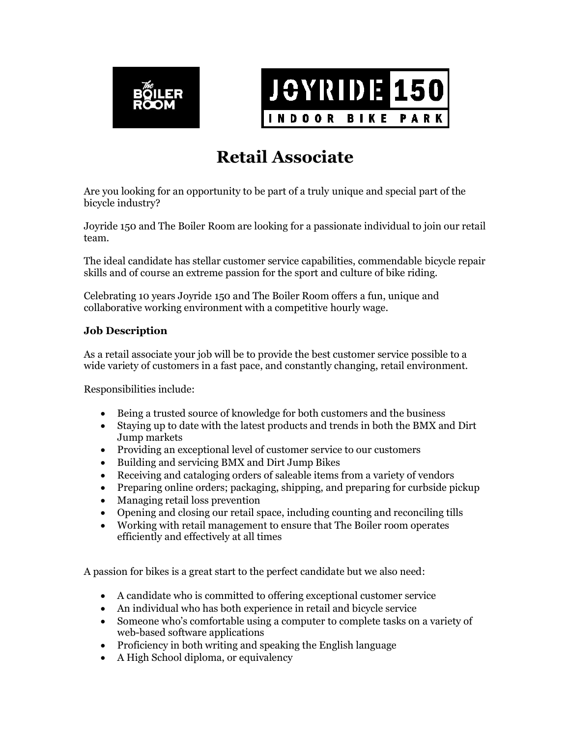



## **Retail Associate**

Are you looking for an opportunity to be part of a truly unique and special part of the bicycle industry?

Joyride 150 and The Boiler Room are looking for a passionate individual to join our retail team.

The ideal candidate has stellar customer service capabilities, commendable bicycle repair skills and of course an extreme passion for the sport and culture of bike riding.

Celebrating 10 years Joyride 150 and The Boiler Room offers a fun, unique and collaborative working environment with a competitive hourly wage.

## **Job Description**

As a retail associate your job will be to provide the best customer service possible to a wide variety of customers in a fast pace, and constantly changing, retail environment.

Responsibilities include:

- Being a trusted source of knowledge for both customers and the business
- Staying up to date with the latest products and trends in both the BMX and Dirt Jump markets
- Providing an exceptional level of customer service to our customers
- Building and servicing BMX and Dirt Jump Bikes
- Receiving and cataloging orders of saleable items from a variety of vendors
- Preparing online orders; packaging, shipping, and preparing for curbside pickup
- Managing retail loss prevention
- Opening and closing our retail space, including counting and reconciling tills
- Working with retail management to ensure that The Boiler room operates efficiently and effectively at all times

A passion for bikes is a great start to the perfect candidate but we also need:

- A candidate who is committed to offering exceptional customer service
- An individual who has both experience in retail and bicycle service
- Someone who's comfortable using a computer to complete tasks on a variety of web-based software applications
- Proficiency in both writing and speaking the English language
- A High School diploma, or equivalency